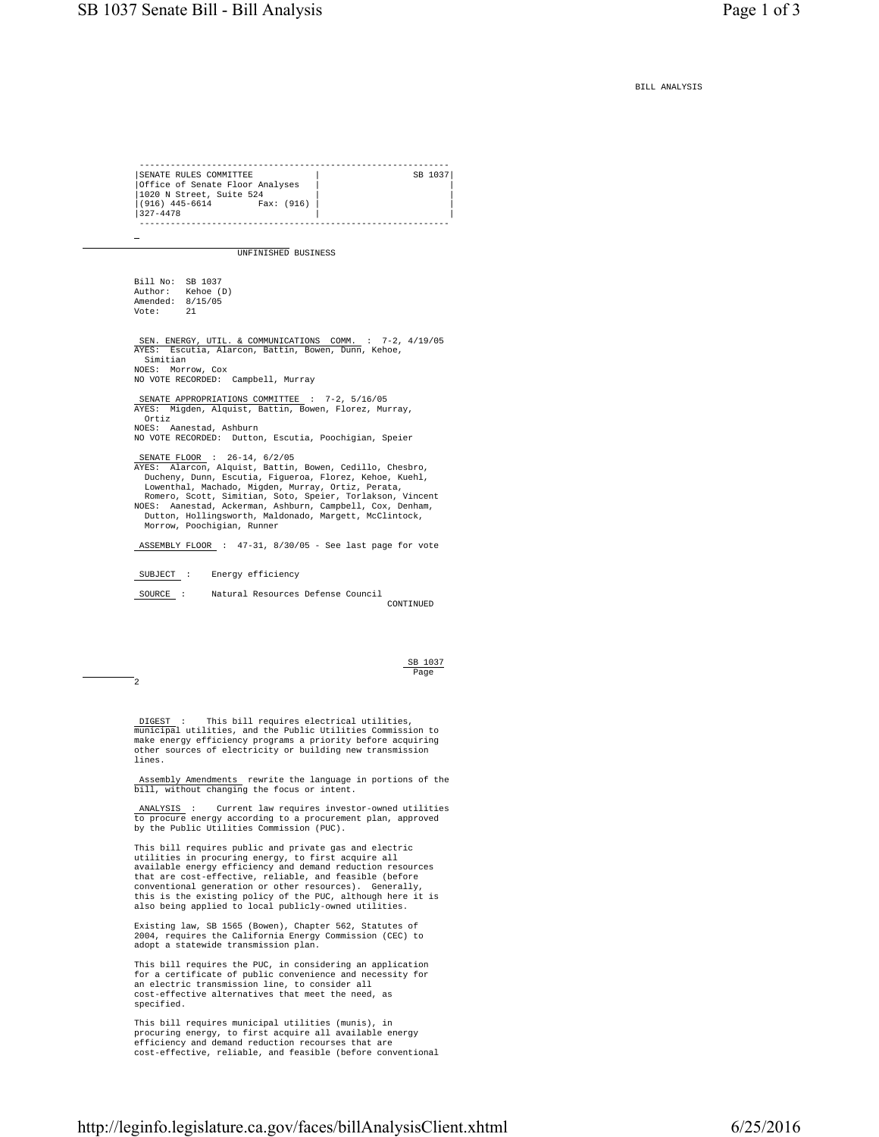BILL ANALYSIS

 ------------------------------------------------------------ SENATE RULES COMMITTEE |Office of Senate Floor Analyses | | |1020 N Street, Suite 524 | | |(916) 445-6614<br>|327-4478 Fax: (916)  $|327-4478$  ------------------------------------------------------------  $\equiv$  UNFINISHED BUSINESS Bill No: SB 1037<br>Author: Kehoe (1 Kehoe (D) Amended: 8/15/05 Vote: 21 SEN. ENERGY, UTIL. & COMMUNICATIONS COMM. : 7-2, 4/19/05<br>AYES: Escutia, Alarcon, Battin, Bowen, Dunn, Kehoe, Simitian NOES: Morrow, Cox NO VOTE RECORDED: Campbell, Murray SENATE APPROPRIATIONS COMMITTEE : 7-2, 5/16/05<br>aves: Micden Alguist Battin Bowen Florez Mu: Migden, Alquist, Battin, Bowen, Florez, Murray, Ortiz NOES: Aanestad, Ashburn NO VOTE RECORDED: Dutton, Escutia, Poochigian, Speier SENATE FLOOR : 26-14, 6/2/05 AYES: Alarcon, Alquist, Battin, Bowen, Cedillo, Chesbro, Ducheny, Dunn, Escutia, Figueroa, Florez, Kehoe, Kuehl, Lowenthal, Machado, Migden, Murray, Ortiz, Perata, Romero, Scott, Simitian, Soto, Speier, Torlakson, Vincent NOES: Aanestad, Ackerman, Ashburn, Campbell, Cox, Denham, Dutton, Hollingsworth, Maldonado, Margett, McClintock, Morrow, Poochigian, Runner ASSEMBLY FLOOR : 47-31, 8/30/05 - See last page for vote SUBJECT : Energy efficiency SOURCE : Natural Resources Defense Council CONTINUED SB 1037 <u>Page and the contract of the contract of the contract of the contract of the contract of the contract of the contract of the contract of the contract of the contract of the contract of the contract of the contract of the </u> 2 DIGEST : This bill requires electrical utilities, municipal utilities, and the Public Utilities Commission to make energy efficiency programs a priority before acquiring other sources of electricity or building new transmission lines. Assembly Amendments rewrite the language in portions of the bill, without changing the focus or intent. ANALYSIS : Current law requires investor-owned utilities to procure energy according to a procurement plan, approved by the Public Utilities Commission (PUC). This bill requires public and private gas and electric utilities in procuring energy, to first acquire all available energy efficiency and demand reduction resources that are cost-effective, reliable, and feasible (before conventional generation or other resources). Generally, this is the existing policy of the PUC, although here it is also being applied to local publicly-owned utilities. Existing law, SB 1565 (Bowen), Chapter 562, Statutes of 2004, requires the California Energy Commission (CEC) to adopt a statewide transmission plan.

 This bill requires the PUC, in considering an application for a certificate of public convenience and necessity for an electric transmission line, to consider all cost-effective alternatives that meet the need, as specified.

 This bill requires municipal utilities (munis), in procuring energy, to first acquire all available energy efficiency and demand reduction recourses that are cost-effective, reliable, and feasible (before conventional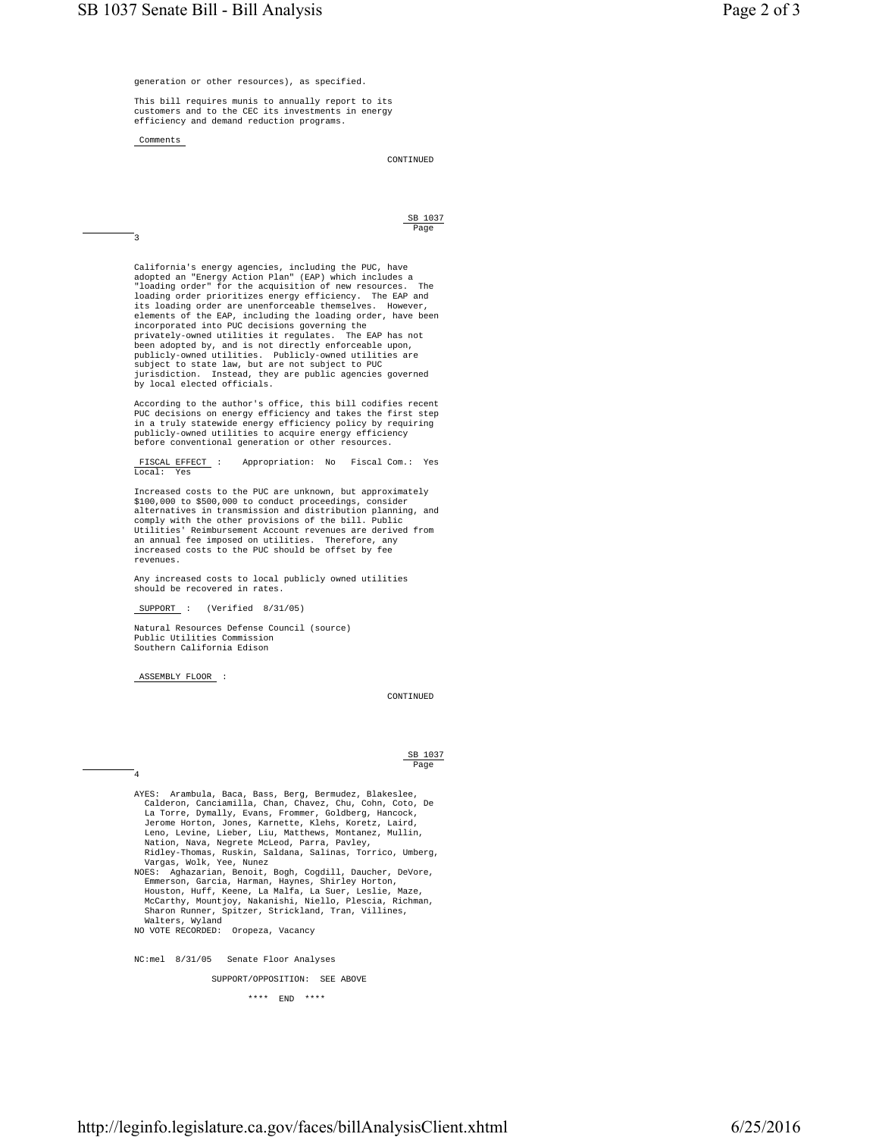generation or other resources), as specified.

 This bill requires munis to annually report to its customers and to the CEC its investments in energy efficiency and demand reduction programs.

SB 1037

Comments

CONTINUED

<u>Page and the contract of the contract of the contract of the contract of the contract of the contract of the contract of the contract of the contract of the contract of the contract of the contract of the contract of the </u> 3

 California's energy agencies, including the PUC, have adopted an "Energy Action Plan" (EAP) which includes a "loading order" for the acquisition of new resources. The loading order prioritizes energy efficiency. The EAP and its loading order are unenforceable themselves. However, elements of the EAP, including the loading order, have been incorporated into PUC decisions governing the privately-owned utilities it regulates. The EAP has not been adopted by, and is not directly enforceable upon, publicly-owned utilities. Publicly-owned utilities are subject to state law, but are not subject to PUC jurisdiction. Instead, they are public agencies governed by local elected officials.

 According to the author's office, this bill codifies recent PUC decisions on energy efficiency and takes the first step in a truly statewide energy efficiency policy by requiring publicly-owned utilities to acquire energy efficiency before conventional generation or other resources.

> FISCAL EFFECT : Appropriation: No Fiscal Com.: Yes Local: Yes

 Increased costs to the PUC are unknown, but approximately \$100,000 to \$500,000 to conduct proceedings, consider alternatives in transmission and distribution planning, and comply with the other provisions of the bill. Public Utilities' Reimbursement Account revenues are derived from an annual fee imposed on utilities. Therefore, any increased costs to the PUC should be offset by fee revenues.

> Any increased costs to local publicly owned utilities should be recovered in rates.

SUPPORT : (Verified 8/31/05)

 Natural Resources Defense Council (source) Public Utilities Commission Southern California Edison

ASSEMBLY FLOOR :

4

CONTINUED

## SB 1037 in the contract of the contract of the contract of the contract of the contract of the contract of the contract of the contract of the contract of the contract of the contract of the contract of the contract of the contrac

 AYES: Arambula, Baca, Bass, Berg, Bermudez, Blakeslee, Calderon, Canciamilla, Chan, Chavez, Chu, Cohn, Coto, De La Torre, Dymally, Evans, Frommer, Goldberg, Hancock, Jerome Horton, Jones, Karnette, Klehs, Koretz, Laird, Leno, Levine, Lieber, Liu, Matthews, Montanez, Mullin, Nation, Nava, Negrete McLeod, Parra, Pavley, Ridley-Thomas, Ruskin, Saldana, Salinas, Torrico, Umberg, Vargas, Wolk, Yee, Nunez NOES: Aghazarian, Benoit, Bogh, Cogdill, Daucher, DeVore, Emmerson, Garcia, Harman, Haynes, Shirley Horton,<br>Houston, Huff, Keene, La Malfa, La Suer, Leslie, Maze,<br>McCarthy, Mountjoy, Nakanishi, Niello, Plescia, Richman,<br>Sharon Runner, Spitzer, Strickland, Tran, Villines,<br>Walters, NO VOTE RECORDED: Oropeza, Vacancy

NC:mel 8/31/05 Senate Floor Analyses

SUPPORT/OPPOSITION: SEE ABOVE

\*\*\*\* END \*\*\*\*